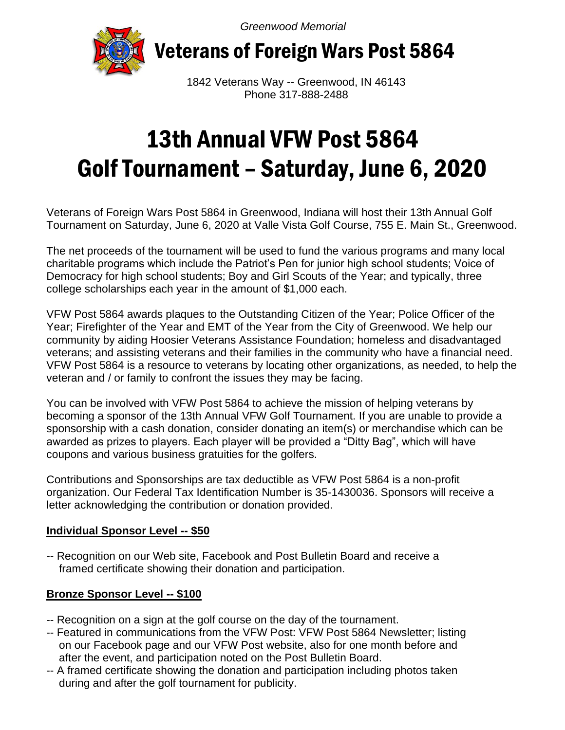*Greenwood Memorial*



Veterans of Foreign Wars Post 5864

 1842 Veterans Way -- Greenwood, IN 46143 Phone 317-888-2488

# 13th Annual VFW Post 5864 Golf Tournament – Saturday, June 6, 2020

Veterans of Foreign Wars Post 5864 in Greenwood, Indiana will host their 13th Annual Golf Tournament on Saturday, June 6, 2020 at Valle Vista Golf Course, 755 E. Main St., Greenwood.

The net proceeds of the tournament will be used to fund the various programs and many local charitable programs which include the Patriot's Pen for junior high school students; Voice of Democracy for high school students; Boy and Girl Scouts of the Year; and typically, three college scholarships each year in the amount of \$1,000 each.

VFW Post 5864 awards plaques to the Outstanding Citizen of the Year; Police Officer of the Year; Firefighter of the Year and EMT of the Year from the City of Greenwood. We help our community by aiding Hoosier Veterans Assistance Foundation; homeless and disadvantaged veterans; and assisting veterans and their families in the community who have a financial need. VFW Post 5864 is a resource to veterans by locating other organizations, as needed, to help the veteran and / or family to confront the issues they may be facing.

You can be involved with VFW Post 5864 to achieve the mission of helping veterans by becoming a sponsor of the 13th Annual VFW Golf Tournament. If you are unable to provide a sponsorship with a cash donation, consider donating an item(s) or merchandise which can be awarded as prizes to players. Each player will be provided a "Ditty Bag", which will have coupons and various business gratuities for the golfers.

Contributions and Sponsorships are tax deductible as VFW Post 5864 is a non-profit organization. Our Federal Tax Identification Number is 35-1430036. Sponsors will receive a letter acknowledging the contribution or donation provided.

#### **Individual Sponsor Level -- \$50**

-- Recognition on our Web site, Facebook and Post Bulletin Board and receive a framed certificate showing their donation and participation.

### **Bronze Sponsor Level -- \$100**

- -- Recognition on a sign at the golf course on the day of the tournament.
- -- Featured in communications from the VFW Post: VFW Post 5864 Newsletter; listing on our Facebook page and our VFW Post website, also for one month before and after the event, and participation noted on the Post Bulletin Board.
- -- A framed certificate showing the donation and participation including photos taken during and after the golf tournament for publicity.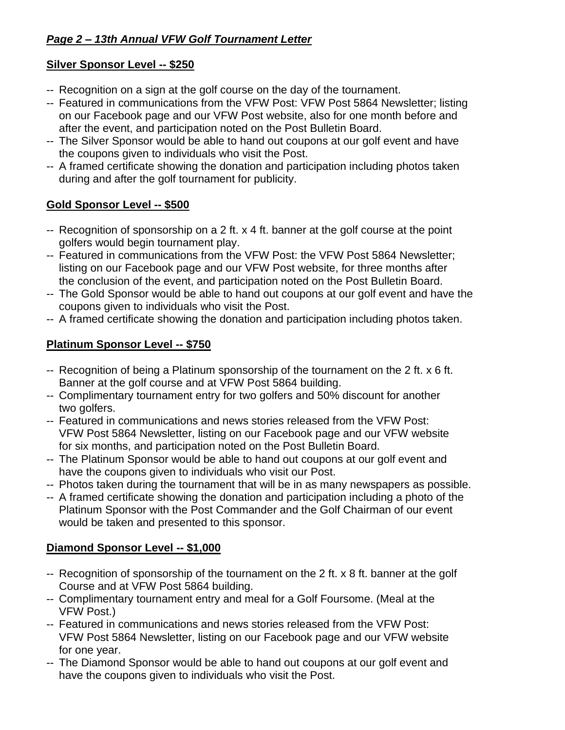## **Silver Sponsor Level -- \$250**

- -- Recognition on a sign at the golf course on the day of the tournament.
- -- Featured in communications from the VFW Post: VFW Post 5864 Newsletter; listing on our Facebook page and our VFW Post website, also for one month before and after the event, and participation noted on the Post Bulletin Board.
- -- The Silver Sponsor would be able to hand out coupons at our golf event and have the coupons given to individuals who visit the Post.
- -- A framed certificate showing the donation and participation including photos taken during and after the golf tournament for publicity.

## **Gold Sponsor Level -- \$500**

- -- Recognition of sponsorship on a 2 ft. x 4 ft. banner at the golf course at the point golfers would begin tournament play.
- -- Featured in communications from the VFW Post: the VFW Post 5864 Newsletter; listing on our Facebook page and our VFW Post website, for three months after the conclusion of the event, and participation noted on the Post Bulletin Board.
- -- The Gold Sponsor would be able to hand out coupons at our golf event and have the coupons given to individuals who visit the Post.
- -- A framed certificate showing the donation and participation including photos taken.

## **Platinum Sponsor Level -- \$750**

- -- Recognition of being a Platinum sponsorship of the tournament on the 2 ft. x 6 ft. Banner at the golf course and at VFW Post 5864 building.
- -- Complimentary tournament entry for two golfers and 50% discount for another two golfers.
- -- Featured in communications and news stories released from the VFW Post: VFW Post 5864 Newsletter, listing on our Facebook page and our VFW website for six months, and participation noted on the Post Bulletin Board.
- -- The Platinum Sponsor would be able to hand out coupons at our golf event and have the coupons given to individuals who visit our Post.
- -- Photos taken during the tournament that will be in as many newspapers as possible.
- -- A framed certificate showing the donation and participation including a photo of the Platinum Sponsor with the Post Commander and the Golf Chairman of our event would be taken and presented to this sponsor.

## **Diamond Sponsor Level -- \$1,000**

- -- Recognition of sponsorship of the tournament on the 2 ft. x 8 ft. banner at the golf Course and at VFW Post 5864 building.
- -- Complimentary tournament entry and meal for a Golf Foursome. (Meal at the VFW Post.)
- -- Featured in communications and news stories released from the VFW Post: VFW Post 5864 Newsletter, listing on our Facebook page and our VFW website for one year.
- -- The Diamond Sponsor would be able to hand out coupons at our golf event and have the coupons given to individuals who visit the Post.